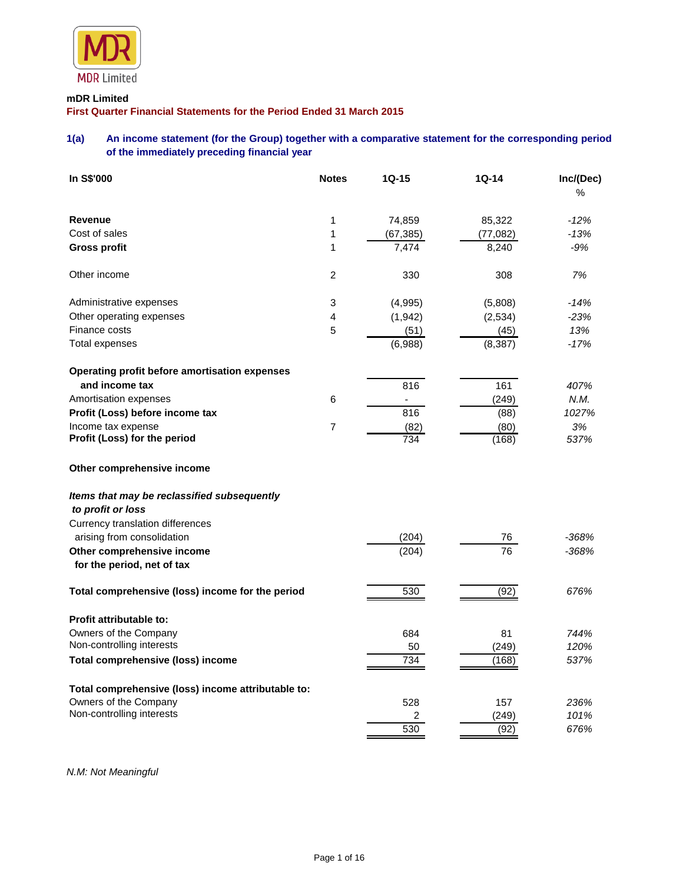

## **mDR Limited**

**First Quarter Financial Statements for the Period Ended 31 March 2015**

# **1(a) An income statement (for the Group) together with a comparative statement for the corresponding period of the immediately preceding financial year**

| In S\$'000                                                       | <b>Notes</b>   | $1Q-15$   | 1Q-14    | Inc/(Dec)<br>% |
|------------------------------------------------------------------|----------------|-----------|----------|----------------|
| <b>Revenue</b>                                                   | 1              | 74,859    | 85,322   | $-12%$         |
| Cost of sales                                                    | 1              | (67, 385) | (77,082) | $-13%$         |
| <b>Gross profit</b>                                              | 1              | 7,474     | 8,240    | $-9%$          |
| Other income                                                     | $\overline{c}$ | 330       | 308      | 7%             |
| Administrative expenses                                          | 3              | (4,995)   | (5,808)  | $-14%$         |
| Other operating expenses                                         | 4              | (1, 942)  | (2,534)  | $-23%$         |
| Finance costs                                                    | 5              | (51)      | (45)     | 13%            |
| Total expenses                                                   |                | (6,988)   | (8, 387) | $-17%$         |
| Operating profit before amortisation expenses                    |                |           |          |                |
| and income tax                                                   |                | 816       | 161      | 407%           |
| Amortisation expenses                                            | 6              |           | (249)    | N.M.           |
| Profit (Loss) before income tax                                  |                | 816       | (88)     | 1027%          |
| Income tax expense                                               | $\overline{7}$ | (82)      | (80)     | 3%             |
| Profit (Loss) for the period                                     |                | 734       | (168)    | 537%           |
| Other comprehensive income                                       |                |           |          |                |
| Items that may be reclassified subsequently<br>to profit or loss |                |           |          |                |
| Currency translation differences                                 |                |           |          |                |
| arising from consolidation                                       |                | (204)     | 76       | $-368%$        |
| Other comprehensive income                                       |                | (204)     | 76       | $-368%$        |
| for the period, net of tax                                       |                |           |          |                |
| Total comprehensive (loss) income for the period                 |                | 530       | (92)     | 676%           |
| <b>Profit attributable to:</b>                                   |                |           |          |                |
| Owners of the Company                                            |                | 684       | 81       | 744%           |
| Non-controlling interests                                        |                | 50        | (249)    | 120%           |
| <b>Total comprehensive (loss) income</b>                         |                | 734       | (168)    | 537%           |
| Total comprehensive (loss) income attributable to:               |                |           |          |                |
| Owners of the Company                                            |                | 528       | 157      | 236%           |
| Non-controlling interests                                        |                | 2         | (249)    | 101%           |
|                                                                  |                | 530       | (92)     | 676%           |

*N.M: Not Meaningful*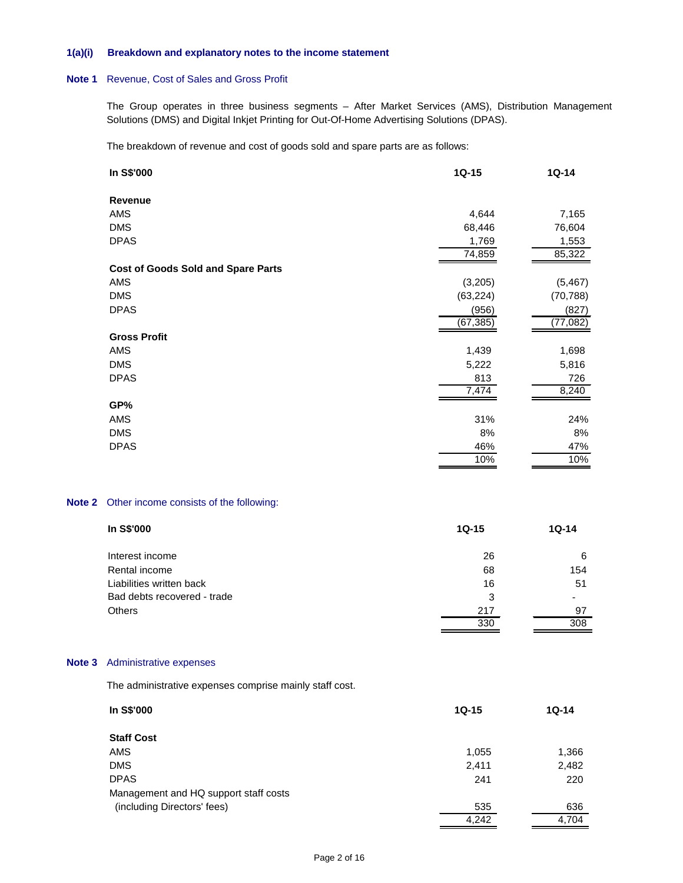#### **1(a)(i) Breakdown and explanatory notes to the income statement**

### **Note 1** Revenue, Cost of Sales and Gross Profit

The Group operates in three business segments – After Market Services (AMS), Distribution Management Solutions (DMS) and Digital Inkjet Printing for Out-Of-Home Advertising Solutions (DPAS).

The breakdown of revenue and cost of goods sold and spare parts are as follows:

| In S\$'000                                | $1Q-15$   | $1Q-14$   |
|-------------------------------------------|-----------|-----------|
| Revenue                                   |           |           |
| AMS                                       | 4,644     | 7,165     |
| <b>DMS</b>                                | 68,446    | 76,604    |
| <b>DPAS</b>                               | 1,769     | 1,553     |
|                                           | 74,859    | 85,322    |
| <b>Cost of Goods Sold and Spare Parts</b> |           |           |
| AMS                                       | (3,205)   | (5, 467)  |
| <b>DMS</b>                                | (63, 224) | (70, 788) |
| <b>DPAS</b>                               | (956)     | (827)     |
|                                           | (67, 385) | (77, 082) |
| <b>Gross Profit</b>                       |           |           |
| AMS                                       | 1,439     | 1,698     |
| <b>DMS</b>                                | 5,222     | 5,816     |
| <b>DPAS</b>                               | 813       | 726       |
|                                           | 7,474     | 8,240     |
| GP%                                       |           |           |
| AMS                                       | 31%       | 24%       |
| <b>DMS</b>                                | 8%        | 8%        |
| <b>DPAS</b>                               | 46%       | 47%       |
|                                           | 10%       | 10%       |

## **Note 2** Other income consists of the following:

| In S\$'000                  | $1Q-15$ | $1Q-14$ |
|-----------------------------|---------|---------|
| Interest income             | 26      | 6       |
| Rental income               | 68      | 154     |
| Liabilities written back    | 16      | 51      |
| Bad debts recovered - trade | 3       |         |
| <b>Others</b>               | 217     | 97      |
|                             | 330     | 308     |

## **Note 3** Administrative expenses

The administrative expenses comprise mainly staff cost.

| In S\$'000                            | $1Q-15$ | $1Q-14$ |
|---------------------------------------|---------|---------|
| <b>Staff Cost</b>                     |         |         |
| <b>AMS</b>                            | 1,055   | 1,366   |
| <b>DMS</b>                            | 2,411   | 2,482   |
| <b>DPAS</b>                           | 241     | 220     |
| Management and HQ support staff costs |         |         |
| (including Directors' fees)           | 535     | 636     |
|                                       | 4,242   | 4,704   |
|                                       |         |         |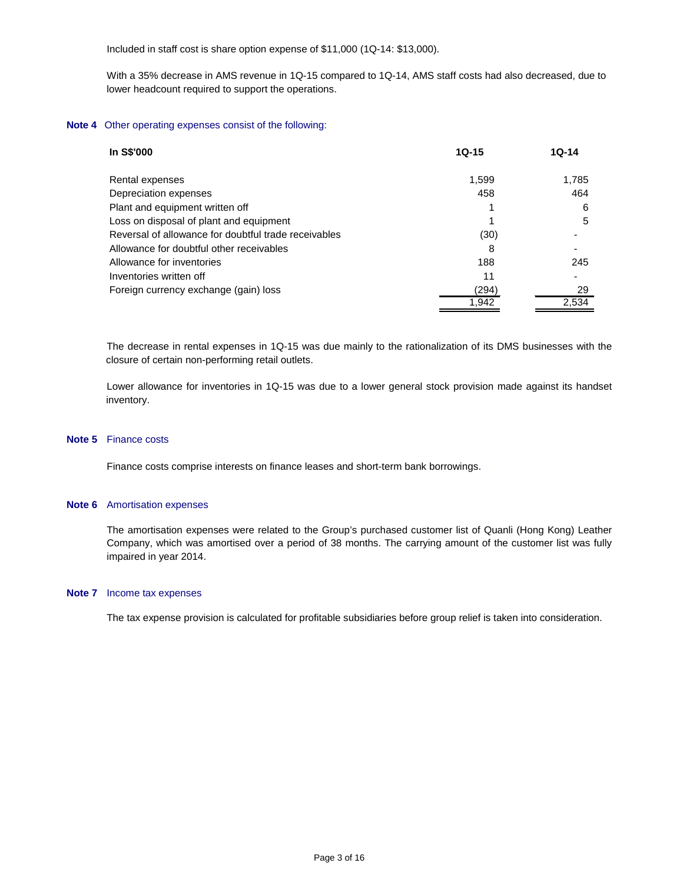Included in staff cost is share option expense of \$11,000 (1Q-14: \$13,000).

With a 35% decrease in AMS revenue in 1Q-15 compared to 1Q-14, AMS staff costs had also decreased, due to lower headcount required to support the operations.

#### **Note 4** Other operating expenses consist of the following:

| In S\$'000                                           | $10 - 15$ | $10-14$ |
|------------------------------------------------------|-----------|---------|
| Rental expenses                                      | 1.599     | 1.785   |
| Depreciation expenses                                | 458       | 464     |
| Plant and equipment written off                      |           | 6       |
| Loss on disposal of plant and equipment              |           | 5       |
| Reversal of allowance for doubtful trade receivables | (30)      |         |
| Allowance for doubtful other receivables             | 8         |         |
| Allowance for inventories                            | 188       | 245     |
| Inventories written off                              | 11        |         |
| Foreign currency exchange (gain) loss                | (294)     | 29      |
|                                                      | 1.942     | 2.534   |

The decrease in rental expenses in 1Q-15 was due mainly to the rationalization of its DMS businesses with the closure of certain non-performing retail outlets.

Lower allowance for inventories in 1Q-15 was due to a lower general stock provision made against its handset inventory.

#### **Note 5** Finance costs

Finance costs comprise interests on finance leases and short-term bank borrowings.

#### **Note 6** Amortisation expenses

The amortisation expenses were related to the Group's purchased customer list of Quanli (Hong Kong) Leather Company, which was amortised over a period of 38 months. The carrying amount of the customer list was fully impaired in year 2014.

#### **Note 7** Income tax expenses

The tax expense provision is calculated for profitable subsidiaries before group relief is taken into consideration.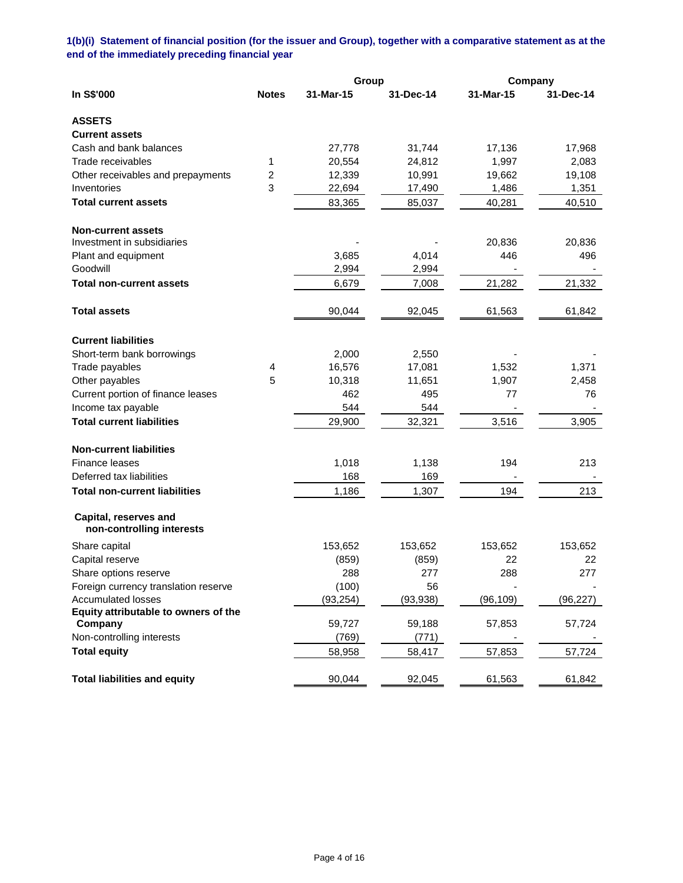**1(b)(i) Statement of financial position (for the issuer and Group), together with a comparative statement as at the end of the immediately preceding financial year**

|                                      |              | Group     |           | Company   |           |
|--------------------------------------|--------------|-----------|-----------|-----------|-----------|
| In S\$'000                           | <b>Notes</b> | 31-Mar-15 | 31-Dec-14 | 31-Mar-15 | 31-Dec-14 |
| <b>ASSETS</b>                        |              |           |           |           |           |
| <b>Current assets</b>                |              |           |           |           |           |
| Cash and bank balances               |              | 27,778    | 31,744    | 17,136    | 17,968    |
| Trade receivables                    | 1            | 20,554    | 24,812    | 1,997     | 2,083     |
| Other receivables and prepayments    | 2            | 12,339    | 10,991    | 19,662    | 19,108    |
| Inventories                          | 3            | 22,694    | 17,490    | 1,486     | 1,351     |
| <b>Total current assets</b>          |              | 83,365    | 85,037    | 40,281    | 40,510    |
| <b>Non-current assets</b>            |              |           |           |           |           |
| Investment in subsidiaries           |              |           |           | 20,836    | 20,836    |
| Plant and equipment                  |              | 3,685     | 4,014     | 446       | 496       |
| Goodwill                             |              | 2,994     | 2,994     |           |           |
| <b>Total non-current assets</b>      |              | 6,679     | 7,008     | 21,282    | 21,332    |
| <b>Total assets</b>                  |              | 90,044    | 92,045    | 61,563    | 61,842    |
| <b>Current liabilities</b>           |              |           |           |           |           |
| Short-term bank borrowings           |              | 2,000     | 2,550     |           |           |
| Trade payables                       | 4            | 16,576    | 17,081    | 1,532     | 1,371     |
| Other payables                       | 5            | 10,318    | 11,651    | 1,907     | 2,458     |
| Current portion of finance leases    |              | 462       | 495       | 77        | 76        |
| Income tax payable                   |              | 544       | 544       |           |           |
| <b>Total current liabilities</b>     |              | 29,900    | 32,321    | 3,516     | 3,905     |
| <b>Non-current liabilities</b>       |              |           |           |           |           |
| Finance leases                       |              | 1,018     | 1,138     | 194       | 213       |
| Deferred tax liabilities             |              | 168       | 169       |           |           |
| <b>Total non-current liabilities</b> |              | 1,186     | 1,307     | 194       | 213       |
| Capital, reserves and                |              |           |           |           |           |
| non-controlling interests            |              |           |           |           |           |
| Share capital                        |              | 153,652   | 153,652   | 153,652   | 153,652   |
| Capital reserve                      |              | (859)     | (859)     | 22        | 22        |
| Share options reserve                |              | 288       | 277       | 288       | 277       |
| Foreign currency translation reserve |              | (100)     | 56        |           |           |
| <b>Accumulated losses</b>            |              | (93, 254) | (93, 938) | (96, 109) | (96, 227) |
| Equity attributable to owners of the |              |           |           |           |           |
| Company                              |              | 59,727    | 59,188    | 57,853    | 57,724    |
| Non-controlling interests            |              | (769)     | (771)     |           |           |
| <b>Total equity</b>                  |              | 58,958    | 58,417    | 57,853    | 57,724    |
| <b>Total liabilities and equity</b>  |              | 90,044    | 92,045    | 61,563    | 61,842    |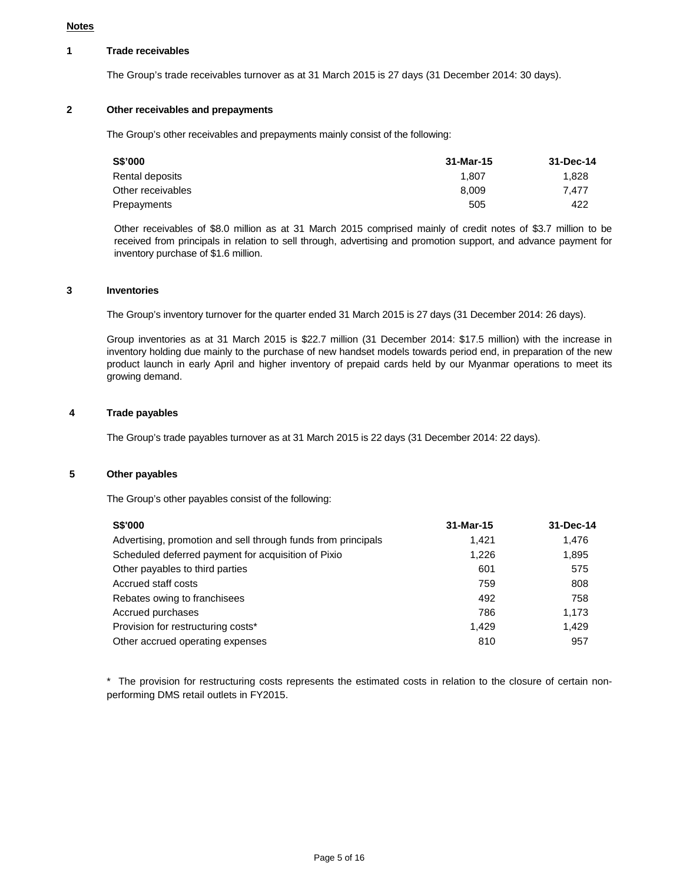#### **Notes**

## **1 Trade receivables**

The Group's trade receivables turnover as at 31 March 2015 is 27 days (31 December 2014: 30 days).

# **2 Other receivables and prepayments**

The Group's other receivables and prepayments mainly consist of the following:

| S\$'000           | 31-Mar-15 | 31-Dec-14 |
|-------------------|-----------|-----------|
| Rental deposits   | 1.807     | 1.828     |
| Other receivables | 8.009     | 7.477     |
| Prepayments       | 505       | 422       |

Other receivables of \$8.0 million as at 31 March 2015 comprised mainly of credit notes of \$3.7 million to be received from principals in relation to sell through, advertising and promotion support, and advance payment for inventory purchase of \$1.6 million.

#### **3 Inventories**

The Group's inventory turnover for the quarter ended 31 March 2015 is 27 days (31 December 2014: 26 days).

Group inventories as at 31 March 2015 is \$22.7 million (31 December 2014: \$17.5 million) with the increase in inventory holding due mainly to the purchase of new handset models towards period end, in preparation of the new product launch in early April and higher inventory of prepaid cards held by our Myanmar operations to meet its growing demand.

### **4 Trade payables**

The Group's trade payables turnover as at 31 March 2015 is 22 days (31 December 2014: 22 days).

### **5 Other payables**

The Group's other payables consist of the following:

| <b>S\$'000</b>                                                | 31-Mar-15 | 31-Dec-14 |
|---------------------------------------------------------------|-----------|-----------|
| Advertising, promotion and sell through funds from principals | 1.421     | 1.476     |
| Scheduled deferred payment for acquisition of Pixio           | 1.226     | 1,895     |
| Other payables to third parties                               | 601       | 575       |
| Accrued staff costs                                           | 759       | 808       |
| Rebates owing to franchisees                                  | 492       | 758       |
| Accrued purchases                                             | 786       | 1.173     |
| Provision for restructuring costs*                            | 1.429     | 1.429     |
| Other accrued operating expenses                              | 810       | 957       |

\* The provision for restructuring costs represents the estimated costs in relation to the closure of certain nonperforming DMS retail outlets in FY2015.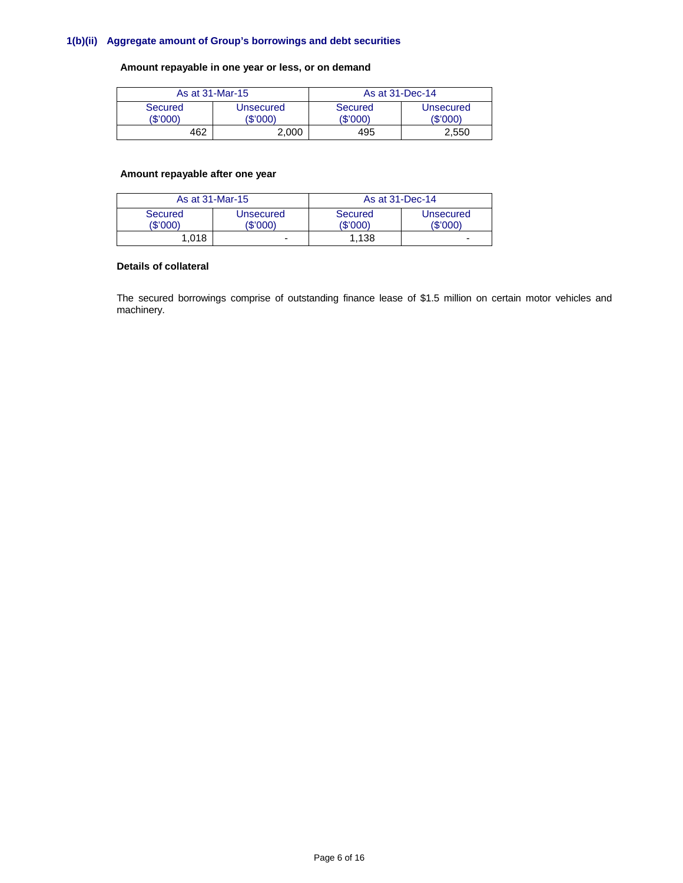# **1(b)(ii) Aggregate amount of Group's borrowings and debt securities**

## **Amount repayable in one year or less, or on demand**

|                     | As at 31-Mar-15       | As at 31-Dec-14     |                       |
|---------------------|-----------------------|---------------------|-----------------------|
| Secured<br>(\$'000) | Unsecured<br>(\$'000' | Secured<br>(\$'000) | Unsecured<br>(\$'000) |
| 462                 | 2.000                 | 495                 | 2,550                 |

## **Amount repayable after one year**

| As at 31-Mar-15     |                       | As at 31-Dec-14     |                          |
|---------------------|-----------------------|---------------------|--------------------------|
| Secured<br>(\$'000) | Unsecured<br>(\$'000) | Secured<br>(\$'000) | Unsecured<br>(\$'000)    |
| 1.018               |                       | 1.138               | $\overline{\phantom{0}}$ |

# **Details of collateral**

The secured borrowings comprise of outstanding finance lease of \$1.5 million on certain motor vehicles and machinery.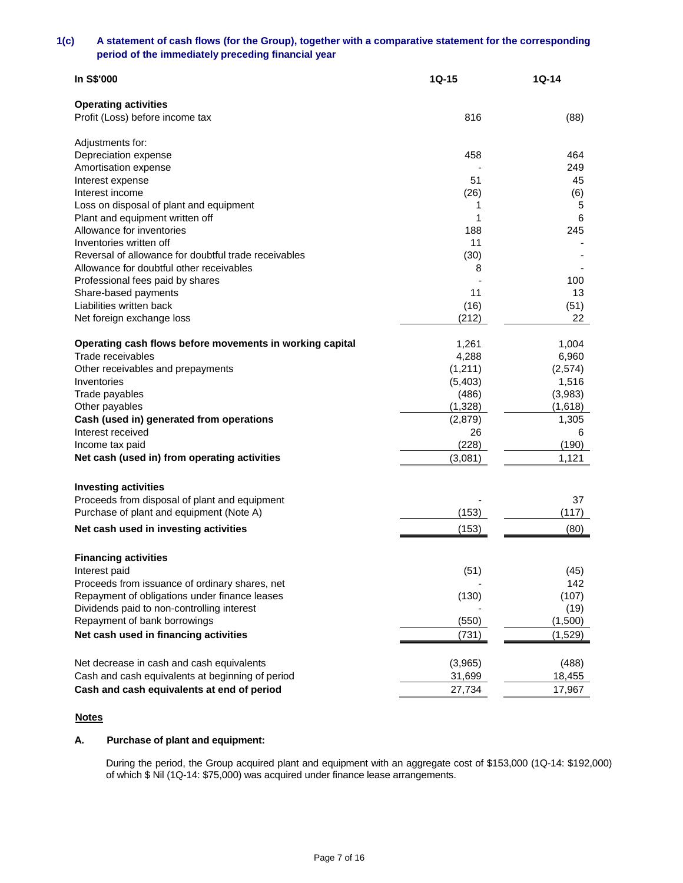## **1(c) A statement of cash flows (for the Group), together with a comparative statement for the corresponding period of the immediately preceding financial year**

| In S\$'000                                                                                       | $1Q-15$ | 1Q-14    |
|--------------------------------------------------------------------------------------------------|---------|----------|
| <b>Operating activities</b>                                                                      |         |          |
| Profit (Loss) before income tax                                                                  | 816     | (88)     |
| Adjustments for:                                                                                 |         |          |
| Depreciation expense                                                                             | 458     | 464      |
| Amortisation expense                                                                             |         | 249      |
| Interest expense                                                                                 | 51      | 45       |
| Interest income                                                                                  | (26)    | (6)      |
| Loss on disposal of plant and equipment                                                          | 1       | 5        |
| Plant and equipment written off                                                                  | 1       | 6        |
| Allowance for inventories                                                                        | 188     | 245      |
| Inventories written off                                                                          | 11      |          |
| Reversal of allowance for doubtful trade receivables<br>Allowance for doubtful other receivables | (30)    |          |
| Professional fees paid by shares                                                                 | 8       | 100      |
| Share-based payments                                                                             | 11      | 13       |
| Liabilities written back                                                                         | (16)    | (51)     |
| Net foreign exchange loss                                                                        | (212)   | 22       |
|                                                                                                  |         |          |
| Operating cash flows before movements in working capital                                         | 1,261   | 1,004    |
| Trade receivables                                                                                | 4,288   | 6,960    |
| Other receivables and prepayments                                                                | (1,211) | (2, 574) |
| Inventories                                                                                      | (5,403) | 1,516    |
| Trade payables                                                                                   | (486)   | (3,983)  |
| Other payables                                                                                   | (1,328) | (1,618)  |
| Cash (used in) generated from operations                                                         | (2,879) | 1,305    |
| Interest received                                                                                | 26      | 6        |
| Income tax paid                                                                                  | (228)   | (190)    |
| Net cash (used in) from operating activities                                                     | (3,081) | 1,121    |
| <b>Investing activities</b>                                                                      |         |          |
| Proceeds from disposal of plant and equipment                                                    |         | 37       |
| Purchase of plant and equipment (Note A)                                                         | (153)   | (117)    |
|                                                                                                  |         |          |
| Net cash used in investing activities                                                            | (153)   | (80)     |
| <b>Financing activities</b>                                                                      |         |          |
| Interest paid                                                                                    | (51)    | (45)     |
| Proceeds from issuance of ordinary shares, net                                                   |         | 142      |
| Repayment of obligations under finance leases                                                    | (130)   | (107)    |
| Dividends paid to non-controlling interest                                                       |         | (19)     |
| Repayment of bank borrowings                                                                     | (550)   | (1,500)  |
| Net cash used in financing activities                                                            | (731)   | (1,529)  |
|                                                                                                  |         |          |
| Net decrease in cash and cash equivalents                                                        | (3,965) | (488)    |
| Cash and cash equivalents at beginning of period                                                 | 31,699  | 18,455   |
| Cash and cash equivalents at end of period                                                       | 27,734  | 17,967   |

## **Notes**

# **A. Purchase of plant and equipment:**

During the period, the Group acquired plant and equipment with an aggregate cost of \$153,000 (1Q-14: \$192,000) of which \$ Nil (1Q-14: \$75,000) was acquired under finance lease arrangements.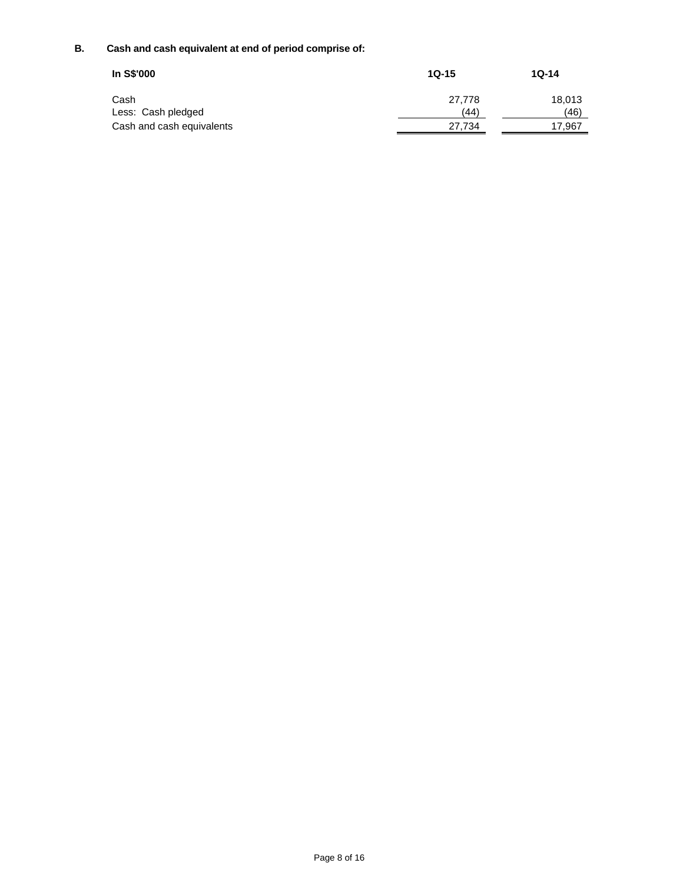# **B. Cash and cash equivalent at end of period comprise of:**

| In S\$'000                | $1Q-15$ | $1Q-14$ |
|---------------------------|---------|---------|
| Cash                      | 27.778  | 18.013  |
| Less: Cash pledged        | (44)    | (46)    |
| Cash and cash equivalents | 27,734  | 17.967  |
|                           |         |         |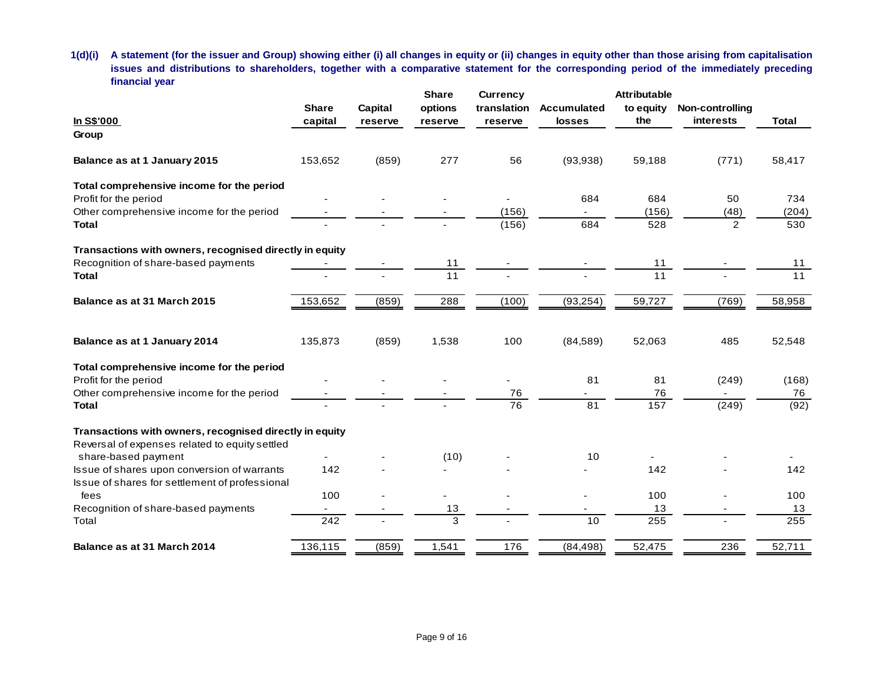**1(d)(i) A statement (for the issuer and Group) showing either (i) all changes in equity or (ii) changes in equity other than those arising from capitalisation issues and distributions to shareholders, together with a comparative statement for the corresponding period of the immediately preceding financial year**

|                                                                                               |              |                | <b>Share</b> | <b>Currency</b> |             | <b>Attributable</b> |                 |              |
|-----------------------------------------------------------------------------------------------|--------------|----------------|--------------|-----------------|-------------|---------------------|-----------------|--------------|
|                                                                                               | <b>Share</b> | <b>Capital</b> | options      | translation     | Accumulated | to equity           | Non-controlling |              |
| In S\$'000                                                                                    | capital      | reserve        | reserve      | reserve         | losses      | the                 | interests       | <b>Total</b> |
| Group                                                                                         |              |                |              |                 |             |                     |                 |              |
| Balance as at 1 January 2015                                                                  | 153,652      | (859)          | 277          | 56              | (93, 938)   | 59,188              | (771)           | 58,417       |
| Total comprehensive income for the period                                                     |              |                |              |                 |             |                     |                 |              |
| Profit for the period                                                                         |              |                |              | $\overline{a}$  | 684         | 684                 | 50              | 734          |
| Other comprehensive income for the period                                                     |              |                |              | (156)           |             | (156)               | (48)            | (204)        |
| <b>Total</b>                                                                                  |              |                |              | (156)           | 684         | 528                 | 2               | 530          |
| Transactions with owners, recognised directly in equity                                       |              |                |              |                 |             |                     |                 |              |
| Recognition of share-based payments                                                           |              |                | 11           |                 |             | 11                  |                 | 11           |
| <b>Total</b>                                                                                  |              |                | 11           |                 |             | 11                  |                 | 11           |
| Balance as at 31 March 2015                                                                   | 153,652      | (859)          | 288          | (100)           | (93, 254)   | 59,727              | (769)           | 58,958       |
| Balance as at 1 January 2014                                                                  | 135,873      | (859)          | 1,538        | 100             | (84, 589)   | 52,063              | 485             | 52,548       |
| Total comprehensive income for the period                                                     |              |                |              |                 |             |                     |                 |              |
| Profit for the period                                                                         |              |                |              |                 | 81          | 81                  | (249)           | (168)        |
| Other comprehensive income for the period                                                     |              |                |              | 76              |             | 76                  |                 | 76           |
| <b>Total</b>                                                                                  |              |                |              | $\overline{76}$ | 81          | 157                 | (249)           | (92)         |
| Transactions with owners, recognised directly in equity                                       |              |                |              |                 |             |                     |                 |              |
| Reversal of expenses related to equity settled                                                |              |                |              |                 |             |                     |                 |              |
| share-based payment                                                                           |              |                | (10)         |                 | 10          |                     |                 |              |
| Issue of shares upon conversion of warrants<br>Issue of shares for settlement of professional | 142          |                |              |                 |             | 142                 |                 | 142          |
| fees                                                                                          | 100          |                |              |                 |             | 100                 |                 | 100          |
| Recognition of share-based payments                                                           |              |                | 13           |                 |             | 13                  |                 | 13           |
| Total                                                                                         | 242          |                | 3            |                 | 10          | 255                 |                 | 255          |
| Balance as at 31 March 2014                                                                   | 136,115      | (859)          | 1,541        | 176             | (84, 498)   | 52,475              | 236             | 52,711       |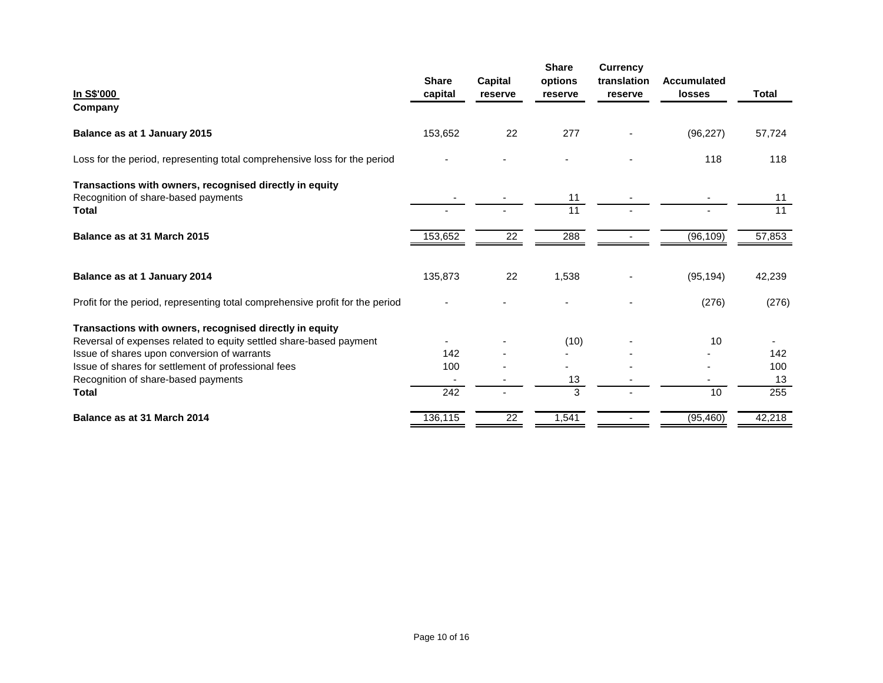|                                                                               |                         |                    | <b>Share</b>       | <b>Currency</b>        |                                     |        |
|-------------------------------------------------------------------------------|-------------------------|--------------------|--------------------|------------------------|-------------------------------------|--------|
| In S\$'000                                                                    | <b>Share</b><br>capital | Capital<br>reserve | options<br>reserve | translation<br>reserve | <b>Accumulated</b><br><b>losses</b> | Total  |
| Company                                                                       |                         |                    |                    |                        |                                     |        |
| Balance as at 1 January 2015                                                  | 153,652                 | 22                 | 277                |                        | (96, 227)                           | 57,724 |
| Loss for the period, representing total comprehensive loss for the period     |                         |                    |                    |                        | 118                                 | 118    |
| Transactions with owners, recognised directly in equity                       |                         |                    |                    |                        |                                     |        |
| Recognition of share-based payments                                           |                         |                    | 11                 |                        |                                     | 11     |
| Total                                                                         |                         |                    | 11                 |                        |                                     | 11     |
| Balance as at 31 March 2015                                                   | 153,652                 | 22                 | 288                |                        | (96, 109)                           | 57,853 |
| Balance as at 1 January 2014                                                  | 135,873                 | 22                 | 1,538              |                        | (95, 194)                           | 42,239 |
| Profit for the period, representing total comprehensive profit for the period |                         |                    |                    |                        | (276)                               | (276)  |
| Transactions with owners, recognised directly in equity                       |                         |                    |                    |                        |                                     |        |
| Reversal of expenses related to equity settled share-based payment            |                         |                    | (10)               |                        | 10                                  |        |
| Issue of shares upon conversion of warrants                                   | 142                     |                    |                    |                        |                                     | 142    |
| Issue of shares for settlement of professional fees                           | 100                     |                    |                    |                        |                                     | 100    |
| Recognition of share-based payments                                           |                         |                    | 13                 |                        |                                     | 13     |
| <b>Total</b>                                                                  | 242                     |                    | 3                  |                        | 10                                  | 255    |
| Balance as at 31 March 2014                                                   | 136,115                 | 22                 | 1,541              |                        | (95, 460)                           | 42,218 |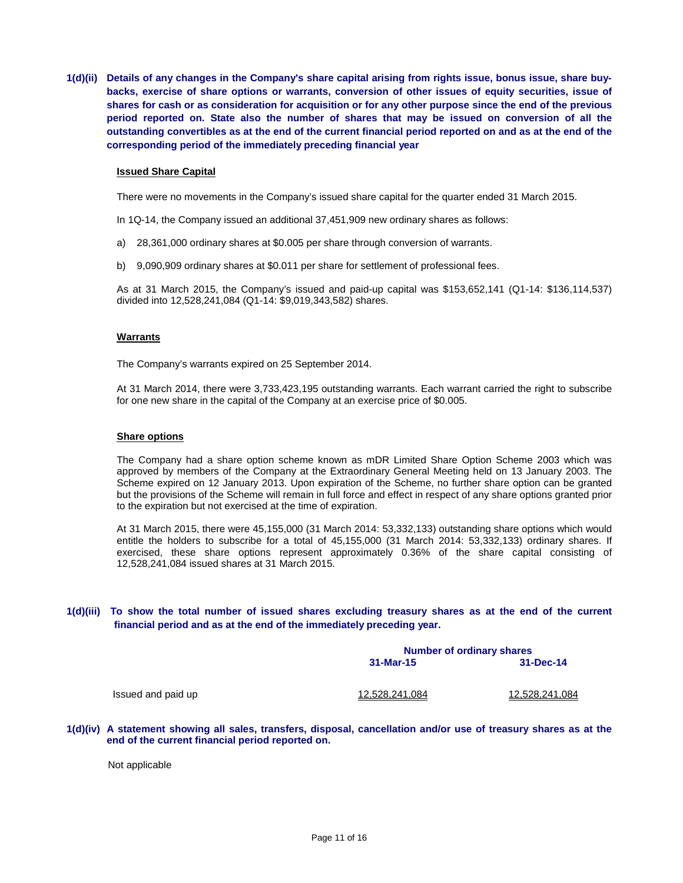**1(d)(ii) Details of any changes in the Company's share capital arising from rights issue, bonus issue, share buybacks, exercise of share options or warrants, conversion of other issues of equity securities, issue of shares for cash or as consideration for acquisition or for any other purpose since the end of the previous period reported on. State also the number of shares that may be issued on conversion of all the outstanding convertibles as at the end of the current financial period reported on and as at the end of the corresponding period of the immediately preceding financial year**

### **Issued Share Capital**

There were no movements in the Company's issued share capital for the quarter ended 31 March 2015.

In 1Q-14, the Company issued an additional 37,451,909 new ordinary shares as follows:

- a) 28,361,000 ordinary shares at \$0.005 per share through conversion of warrants.
- b) 9,090,909 ordinary shares at \$0.011 per share for settlement of professional fees.

As at 31 March 2015, the Company's issued and paid-up capital was \$153,652,141 (Q1-14: \$136,114,537) divided into 12,528,241,084 (Q1-14: \$9,019,343,582) shares.

#### **Warrants**

The Company's warrants expired on 25 September 2014.

At 31 March 2014, there were 3,733,423,195 outstanding warrants. Each warrant carried the right to subscribe for one new share in the capital of the Company at an exercise price of \$0.005.

#### **Share options**

The Company had a share option scheme known as mDR Limited Share Option Scheme 2003 which was approved by members of the Company at the Extraordinary General Meeting held on 13 January 2003. The Scheme expired on 12 January 2013. Upon expiration of the Scheme, no further share option can be granted but the provisions of the Scheme will remain in full force and effect in respect of any share options granted prior to the expiration but not exercised at the time of expiration.

At 31 March 2015, there were 45,155,000 (31 March 2014: 53,332,133) outstanding share options which would entitle the holders to subscribe for a total of 45,155,000 (31 March 2014: 53,332,133) ordinary shares. If exercised, these share options represent approximately 0.36% of the share capital consisting of 12,528,241,084 issued shares at 31 March 2015.

### **1(d)(iii) To show the total number of issued shares excluding treasury shares as at the end of the current financial period and as at the end of the immediately preceding year.**

**Number of ordinary shares**<br>31-Mar-15 31-**31-Mar-15 31-Dec-14** Issued and paid up 12,528,241,084 12,528,241,084

**1(d)(iv) A statement showing all sales, transfers, disposal, cancellation and/or use of treasury shares as at the end of the current financial period reported on.**

Not applicable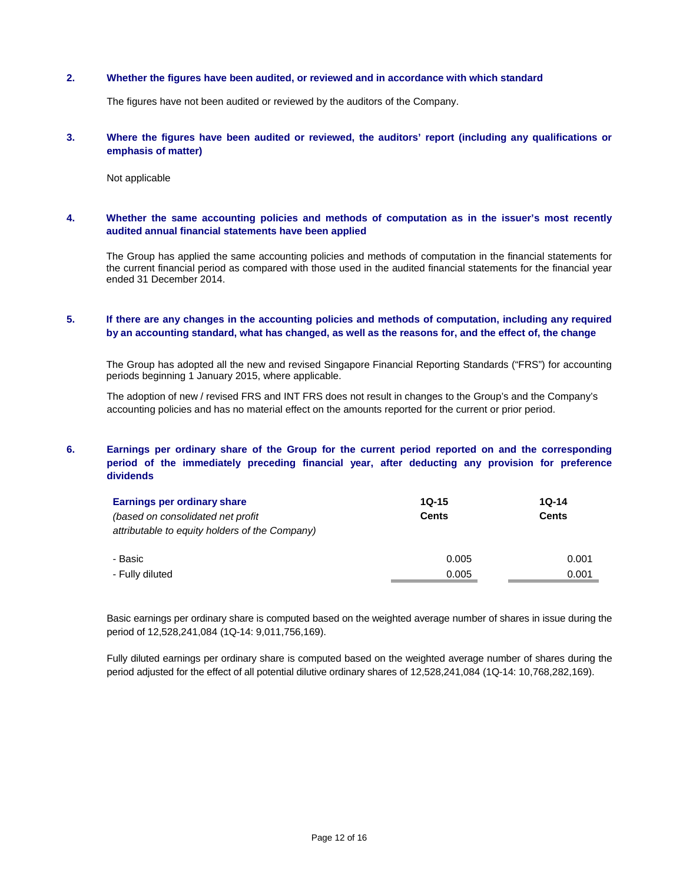### **2. Whether the figures have been audited, or reviewed and in accordance with which standard**

The figures have not been audited or reviewed by the auditors of the Company.

### **3. Where the figures have been audited or reviewed, the auditors' report (including any qualifications or emphasis of matter)**

Not applicable

### **4. Whether the same accounting policies and methods of computation as in the issuer's most recently audited annual financial statements have been applied**

The Group has applied the same accounting policies and methods of computation in the financial statements for the current financial period as compared with those used in the audited financial statements for the financial year ended 31 December 2014.

## **5. If there are any changes in the accounting policies and methods of computation, including any required by an accounting standard, what has changed, as well as the reasons for, and the effect of, the change**

The Group has adopted all the new and revised Singapore Financial Reporting Standards ("FRS") for accounting periods beginning 1 January 2015, where applicable.

The adoption of new / revised FRS and INT FRS does not result in changes to the Group's and the Company's accounting policies and has no material effect on the amounts reported for the current or prior period.

## **6. Earnings per ordinary share of the Group for the current period reported on and the corresponding period of the immediately preceding financial year, after deducting any provision for preference dividends**

| Earnings per ordinary share                    | $10-15$      | 1Q-14        |  |
|------------------------------------------------|--------------|--------------|--|
| (based on consolidated net profit)             | <b>Cents</b> | <b>Cents</b> |  |
| attributable to equity holders of the Company) |              |              |  |
|                                                |              |              |  |
| - Basic                                        | 0.005        | 0.001        |  |
| - Fully diluted                                | 0.005        | 0.001        |  |

Basic earnings per ordinary share is computed based on the weighted average number of shares in issue during the period of 12,528,241,084 (1Q-14: 9,011,756,169).

Fully diluted earnings per ordinary share is computed based on the weighted average number of shares during the period adjusted for the effect of all potential dilutive ordinary shares of 12,528,241,084 (1Q-14: 10,768,282,169).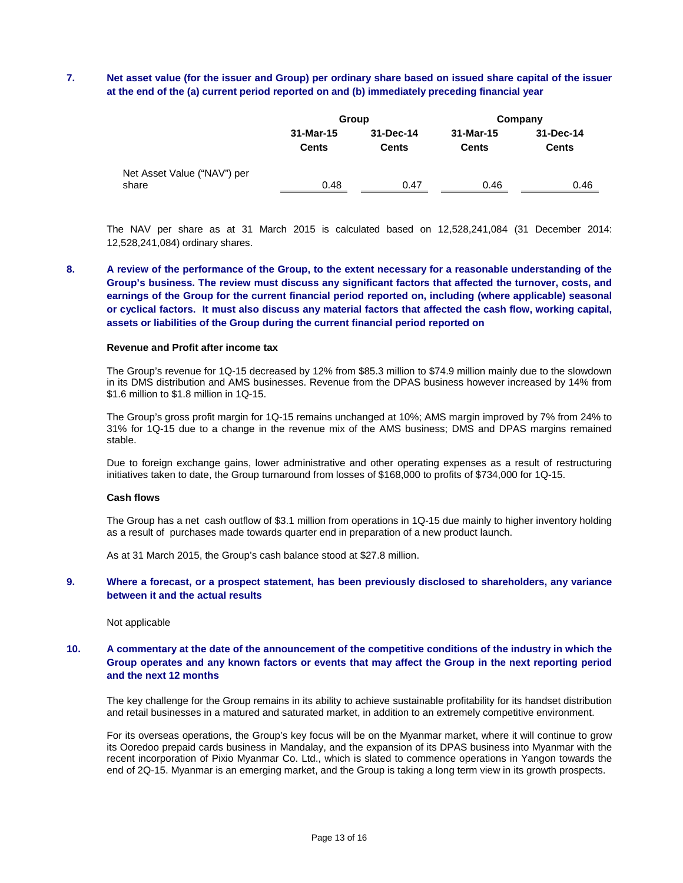## **7. Net asset value (for the issuer and Group) per ordinary share based on issued share capital of the issuer at the end of the (a) current period reported on and (b) immediately preceding financial year**

|                             |              | Group        | Company      |              |  |
|-----------------------------|--------------|--------------|--------------|--------------|--|
|                             | 31-Mar-15    | 31-Dec-14    | 31-Mar-15    | 31-Dec-14    |  |
|                             | <b>Cents</b> | <b>Cents</b> | <b>Cents</b> | <b>Cents</b> |  |
| Net Asset Value ("NAV") per |              |              |              |              |  |
| share                       | 0.48         | 0.47         | 0.46         | 0.46         |  |

The NAV per share as at 31 March 2015 is calculated based on 12,528,241,084 (31 December 2014: 12,528,241,084) ordinary shares.

**8. A review of the performance of the Group, to the extent necessary for a reasonable understanding of the Group's business. The review must discuss any significant factors that affected the turnover, costs, and earnings of the Group for the current financial period reported on, including (where applicable) seasonal or cyclical factors. It must also discuss any material factors that affected the cash flow, working capital, assets or liabilities of the Group during the current financial period reported on**

#### **Revenue and Profit after income tax**

The Group's revenue for 1Q-15 decreased by 12% from \$85.3 million to \$74.9 million mainly due to the slowdown in its DMS distribution and AMS businesses. Revenue from the DPAS business however increased by 14% from \$1.6 million to \$1.8 million in 1Q-15.

The Group's gross profit margin for 1Q-15 remains unchanged at 10%; AMS margin improved by 7% from 24% to 31% for 1Q-15 due to a change in the revenue mix of the AMS business; DMS and DPAS margins remained stable.

Due to foreign exchange gains, lower administrative and other operating expenses as a result of restructuring initiatives taken to date, the Group turnaround from losses of \$168,000 to profits of \$734,000 for 1Q-15.

#### **Cash flows**

The Group has a net cash outflow of \$3.1 million from operations in 1Q-15 due mainly to higher inventory holding as a result of purchases made towards quarter end in preparation of a new product launch.

As at 31 March 2015, the Group's cash balance stood at \$27.8 million.

## **9. Where a forecast, or a prospect statement, has been previously disclosed to shareholders, any variance between it and the actual results**

#### Not applicable

### **10. A commentary at the date of the announcement of the competitive conditions of the industry in which the Group operates and any known factors or events that may affect the Group in the next reporting period and the next 12 months**

The key challenge for the Group remains in its ability to achieve sustainable profitability for its handset distribution and retail businesses in a matured and saturated market, in addition to an extremely competitive environment.

For its overseas operations, the Group's key focus will be on the Myanmar market, where it will continue to grow its Ooredoo prepaid cards business in Mandalay, and the expansion of its DPAS business into Myanmar with the recent incorporation of Pixio Myanmar Co. Ltd., which is slated to commence operations in Yangon towards the end of 2Q-15. Myanmar is an emerging market, and the Group is taking a long term view in its growth prospects.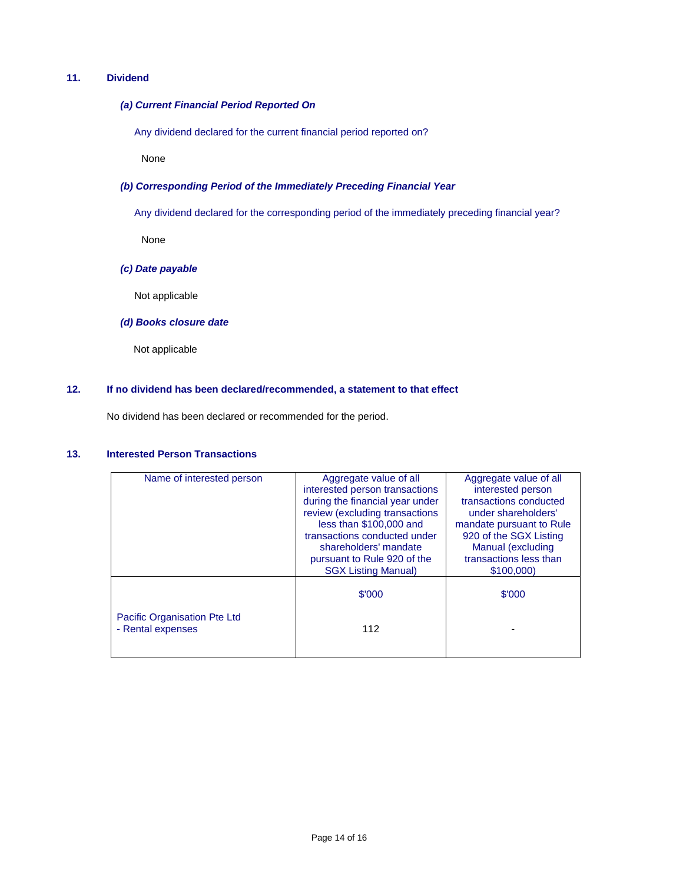# **11. Dividend**

### *(a) Current Financial Period Reported On*

Any dividend declared for the current financial period reported on?

None

### *(b) Corresponding Period of the Immediately Preceding Financial Year*

Any dividend declared for the corresponding period of the immediately preceding financial year?

None

## *(c) Date payable*

Not applicable

## *(d) Books closure date*

Not applicable

### **12. If no dividend has been declared/recommended, a statement to that effect**

No dividend has been declared or recommended for the period.

# **13. Interested Person Transactions**

| Name of interested person    | Aggregate value of all          | Aggregate value of all   |
|------------------------------|---------------------------------|--------------------------|
|                              | interested person transactions  | interested person        |
|                              | during the financial year under | transactions conducted   |
|                              | review (excluding transactions  | under shareholders'      |
|                              | less than \$100,000 and         | mandate pursuant to Rule |
|                              | transactions conducted under    | 920 of the SGX Listing   |
|                              | shareholders' mandate           | Manual (excluding        |
|                              | pursuant to Rule 920 of the     | transactions less than   |
|                              | <b>SGX Listing Manual)</b>      | \$100,000)               |
|                              |                                 |                          |
|                              | \$'000                          | \$'000                   |
|                              |                                 |                          |
| Pacific Organisation Pte Ltd |                                 |                          |
| - Rental expenses            | 112                             |                          |
|                              |                                 |                          |
|                              |                                 |                          |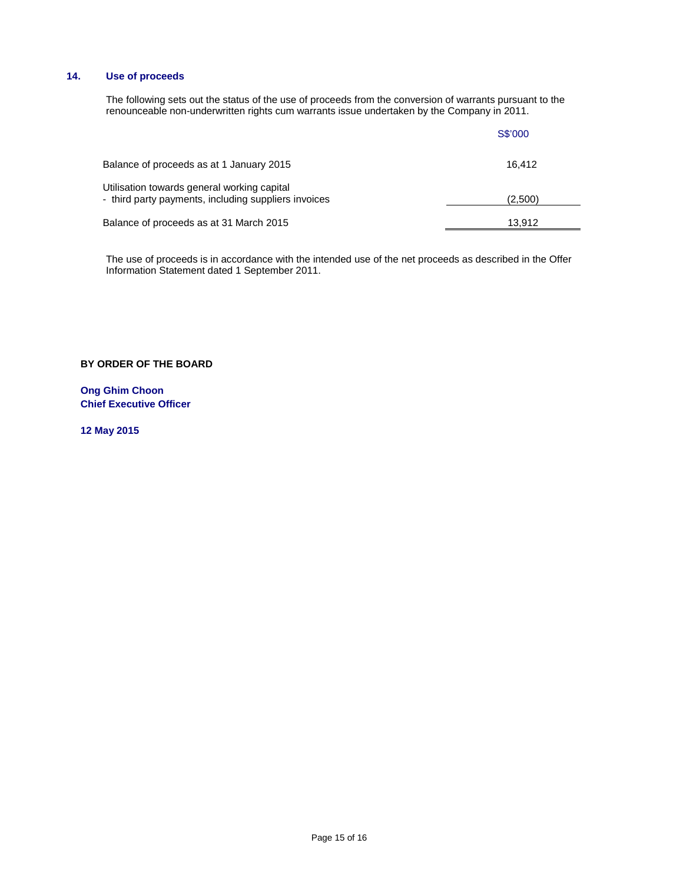# **14. Use of proceeds**

The following sets out the status of the use of proceeds from the conversion of warrants pursuant to the renounceable non-underwritten rights cum warrants issue undertaken by the Company in 2011.

|                                                                                                     | S\$'000 |
|-----------------------------------------------------------------------------------------------------|---------|
| Balance of proceeds as at 1 January 2015                                                            | 16.412  |
| Utilisation towards general working capital<br>- third party payments, including suppliers invoices | (2,500) |
| Balance of proceeds as at 31 March 2015                                                             | 13.912  |

The use of proceeds is in accordance with the intended use of the net proceeds as described in the Offer Information Statement dated 1 September 2011.

**BY ORDER OF THE BOARD**

**Ong Ghim Choon Chief Executive Officer**

**12 May 2015**